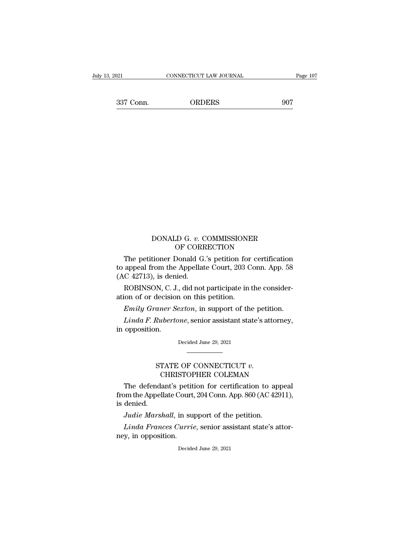21 CONNECTICUT LAW JOURNAL Page 107<br>337 Conn. ORDERS 907

### DONALD G. *<sup>v</sup>*. COMMISSIONER DONALD G. v. COMMISSIONER<br>OF CORRECTION<br>The petitioner Donald G.'s petition for certification

DONALD G. v. COMMISSIONER<br>OF CORRECTION<br>The petitioner Donald G.'s petition for certification<br>appeal from the Appellate Court, 203 Conn. App. 58<br>C. 42713), is donied DONALD G. v. COMMISSIONER<br>OF CORRECTION<br>The petitioner Donald G.'s petition for certification<br>to appeal from the Appellate Court, 203 Conn. App. 58<br>(AC 42713), is denied. to appeal from the Appellate Court, 203 Conn. App. 58<br>(AC 42713), is denied.<br>ROBINSON, C. J., did not participate in the consideration of or decision on this petition. DONALD G. v. COMMISSIONER<br>OF CORRECTION<br>The petitioner Donald G.'s petition for certification<br>appeal from the Appellate Court, 203 Conn. App. 58<br>C 42713), is denied.<br>ROBINSON, C. J., did not participate in the consider-<br>io The petitioner Donald G.'s petition for<br>to appeal from the Appellate Court, 203 C<br>(AC 42713), is denied.<br>ROBINSON, C. J., did not participate in<br>ation of or decision on this petition.<br>Emily Graner Sexton, in support of the The petitioner Donald G.'s petition for certification<br>appeal from the Appellate Court, 203 Conn. App. 58<br>*C* 42713), is denied.<br>ROBINSON, C. J., did not participate in the consider-<br>ion of or decision on this petition.<br>*Em* appeal from the Appellate Court, 203 Conn. App. 58<br>*C* 42713), is denied.<br>ROBINSON, C. J., did not participate in the consider-<br>ion of or decision on this petition.<br>*Emily Graner Sexton*, in support of the petition.<br>*Linda* 

(AC 42713), is deni<br>ROBINSON, C. J.<br>ation of or decision<br> $Emily~Gramer~S_0$ <br>Linda F. Ruberto<br>in opposition.

Emily Graner Sexton, in support of the petition.<br>Linda F. Rubertone, senior assistant state's attorney,<br>opposition.<br>Decided June 29, 2021 Factor Sexton, it support of the persion.<br>Rubertone, senior assistant state's attorney,<br>n.<br>STATE OF CONNECTICUT *v*.<br>CHRISTOPHER COLEMAN<br>dant's petition for certification to appeal

Decided June 29, 2021<br>
Decided June 29, 2021<br>
The defendant's petition for certification to appeal<br>
om the Appellate Court, 204 Conn. App. 860 (AC 42911),<br>
depied from the Appellate Court, 204 Conn. App. 860 (AC 42911), ST<br>C<br>The defenda<br>from the Appell<br>is denied.<br>Judie Marsh STATE OF CONNECTICUT *v*.<br>CHRISTOPHER COLEMAN<br>The defendant's petition for certification to ap<br>om the Appellate Court, 204 Conn. App. 860 (AC 429<br>denied.<br>Judie Marshall, in support of the petition.<br>Linda Frances Currie, se CHRISTOPHER COLEMAN<br>The defendant's petition for certification to appeal<br>pm the Appellate Court, 204 Conn. App. 860 (AC 42911),<br>denied.<br>Judie Marshall, in support of the petition.<br>Linda Frances Currie, senior assistant sta The defendant's petit<br>from the Appellate Court<br>is denied.<br>Judie Marshall, in su<br>Linda Frances Curriney, in opposition.

*Judie Marshall*, in support of the petition.<br>*Linda Frances Currie*, senior assistant state's attor-<br>by, in opposition.<br>Decided June 29, 2021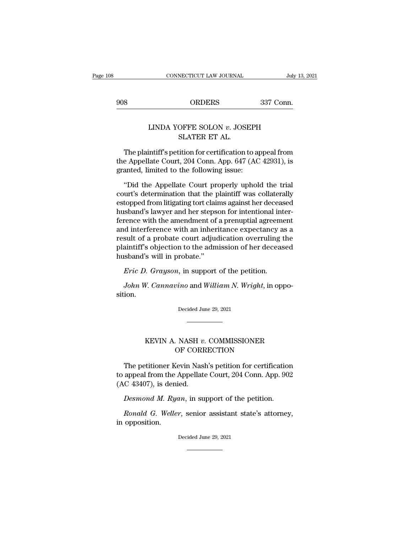EXECUTE CONNECTICUT LAW JOURNAL July 13, 20<br>908 ORDERS 337 Conn.

## CONNECTICUT LAW JOURNAL July 13, 2<br>
ORDERS 337 Conn.<br>
LINDA YOFFE SOLON *v*. JOSEPH SLATER ET AL. ORDERS<br>OFFE SOLON  $v$ . JOSI<br>SLATER ET AL.<br>ition for certification

S<br>
S<br>
S<br>
S<br>
CON V. JOSEPH<br>
S<br>
LINDA YOFFE SOLON V. JOSEPH<br>
S<br>
LATER ET AL.<br>
The plaintiff's petition for certification to appeal from<br>
e Appellate Court, 204 Conn. App. 647 (AC 42931), is<br>
anted limited to the following ig LINDA YOFFE SOLON v. JOSEPH<br>SLATER ET AL.<br>The plaintiff's petition for certification to appeal from<br>the Appellate Court, 204 Conn. App. 647 (AC 42931), is<br>granted, limited to the following issue: LINDA YOFFE SOLON  $v$ . JOSEPH<br>SLATER ET AL.<br>The plaintiff's petition for certification to a<br>the Appellate Court, 204 Conn. App. 647 (AC<br>granted, limited to the following issue:<br>"Did the Appellate Court properly uphol SLATER ET AL.<br>SLATER ET AL.<br>The plaintiff's petition for certification to appeal from<br>e Appellate Court, 204 Conn. App. 647 (AC 42931), is<br>anted, limited to the following issue:<br>"Did the Appellate Court properly uphold the

court of the Appellate Court, 204 Conn. App. 647 (AC 42931), is<br>granted, limited to the following issue:<br>"Did the Appellate Court properly uphold the trial<br>court's determination that the plaintiff was collaterally<br>estopped The plaintiff's petition for certification to appeal from<br>the Appellate Court, 204 Conn. App. 647 (AC 42931), is<br>granted, limited to the following issue:<br>"Did the Appellate Court properly uphold the trial<br>court's determina the Appellate Court, 204 Conn. App. 647 (AC 42931), is<br>granted, limited to the following issue:<br>"Did the Appellate Court properly uphold the trial<br>court's determination that the plaintiff was collaterally<br>estopped from lit granted, limited to the following issue:<br>
"Did the Appellate Court properly uphold the trial<br>
court's determination that the plaintiff was collaterally<br>
estopped from litigating tort claims against her deceased<br>
husband's "Did the Appellate Court properly uphold the trial<br>court's determination that the plaintiff was collaterally<br>estopped from litigating tort claims against her deceased<br>husband's lawyer and her stepson for intentional inter-"Did the Appellate Court properly uphold the trial<br>court's determination that the plaintiff was collaterally<br>estopped from litigating tort claims against her deceased<br>husband's lawyer and her stepson for intentional intercourt's determination that the plaintiff was collaterally<br>estopped from litigating tort claims against her deceased<br>husband's lawyer and her stepson for intentional inter-<br>ference with the amendment of a prenuptial agreeme estopped from litigating tort clair<br>husband's lawyer and her stepse<br>ference with the amendment of<br>and interference with an inheri<br>result of a probate court adjud<br>plaintiff's objection to the adm<br>husband's will in probate." rence with the amendment of a prenuptial agreement of a prenuptial agreement of a probate court adjudication overruling than the petition overruling than the petition over the petition.<br>Eric D. Grayson, in support of the p *John W. Cannavino* and *William N. Wright*, in opposition.<br>*John W. Cannavino* and *William N. Wright*, in oppo-<br>*John W. Cannavino* and *William N. Wright*, in oppo-<br>John *W. Cannavino* and *William N. Wright*, in oppo-<br>

sition. *Eric D. Grayson*, in support of the petition.<br>John W. Cannavino and William N. Wright, in oppotion.<br>Decided June 29, 2021 V. Cannavino and William N. Wright, in oppo-<br>Decided June 29, 2021<br>AEVIN A. NASH *v*. COMMISSIONER<br>OF CORRECTION

# OF CORRECTION

Exched State 23, 2021<br>
The petitioner Kevin Nash's petition for certification<br>
appeal from the Appellate Court, 204 Conn. App. 902<br>
C 42407) is donied KEVIN A. NASH v. COMMISSIONER<br>OF CORRECTION<br>The petitioner Kevin Nash's petition for certification<br>to appeal from the Appellate Court, 204 Conn. App. 902<br>(AC 43407), is denied. KEVIN A. NASH v.<br>OF CORE<br>The petitioner Kevin Nasl<br>to appeal from the Appellate<br>(AC 43407), is denied.<br>Desmond M. Ryan, in su *DE CORRECTION*<br>*DE CORRECTION*<br>The petitioner Kevin Nash's petition for certification<br>appeal from the Appellate Court, 204 Conn. App. 902<br>*C* 43407), is denied.<br>*Desmond M. Ryan*, in support of the petition.<br>*Ronald G. We* The petitioner Kevin Nash's petition for certification<br>appeal from the Appellate Court, 204 Conn. App. 902<br>*C* 43407), is denied.<br>*Desmond M. Ryan*, in support of the petition.<br>*Ronald G. Weller*, senior assistant state's ine petrioner Rection<br>to appeal from the .<br>(AC 43407), is deni<br>Desmond M. Ryd<br>Ronald G. Welle<br>in opposition.

Desmond M. Ryan, in support of the petition.<br>Ronald G. Weller, senior assistant state's attorney,<br>opposition.<br>Decided June 29, 2021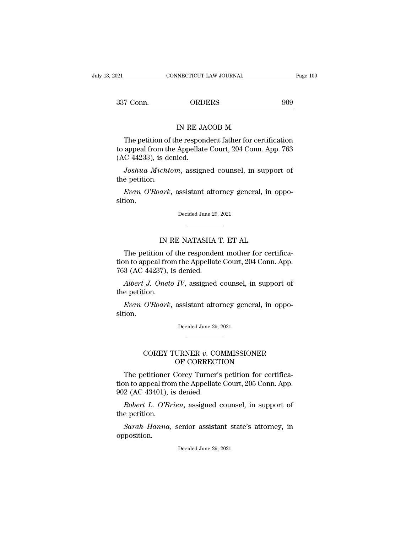21 CONNECTICUT LAW JOURNAL Page 109<br>337 Conn. ORDERS 909 INECTICUT LAW JOURNAL<br>ORDERS<br>IN RE JACOB M.<br>Ne respondent father fo

T Conn. ORDERS 909<br>
IN RE JACOB M.<br>
The petition of the respondent father for certification<br>
appeal from the Appellate Court, 204 Conn. App. 763<br>
C 44233), is donied 337 Conn. (ORDERS 909)<br>IN RE JACOB M.<br>The petition of the respondent father for certification<br>to appeal from the Appellate Court, 204 Conn. App. 763<br>(AC 44233), is denied.  $\begin{array}{ll} \text{GKD} \ \text{N} & \text{ORD} \ \text{N} \ \text{R} & \text{M} \ \text{S} \ \text{S} & \text{M} \ \text{N} \ \text{R} & \text{M} \ \text{N} \ \text{R} & \text{M} \ \text{M} \ \text{A} & \text{M} \ \text{A} & \text{M} \ \text{M} \ \text{M} \ \text{M} \ \text{M} \ \text{M} \ \text{M} \ \text{M} \ \text{M} \ \text{M} \ \text{M} \ \text{M} \ \text{M} \ \text{M} \ \text{M} \ \text{M} \ \$ IN RE JACOB M.<br>The petition of the respondent father for certification<br>appeal from the Appellate Court, 204 Conn. App. 763<br>C 44233), is denied.<br>Joshua Michtom, assigned counsel, in support of<br>e petition. The petition of<br>to appeal from the<br>(AC 44233), is de<br>*Joshua Michto*<br>the petition.<br>*Evan O'Roark*, The petition of the respondent father for certification<br>appeal from the Appellate Court, 204 Conn. App. 763<br>*C* 44233), is denied.<br>*Joshua Michtom*, assigned counsel, in support of<br>e petition.<br>*Evan O'Roark*, assistant att

Joshua Michtom, assigned counsel, in support of<br>e petition.<br>Evan O'Roark, assistant attorney general, in oppo-<br>tion.<br>Decided June 29, 2021

sition. ark, assistant attorney general, i<br>Decided June 29, 2021<br>IN RE NATASHA T. ET AL.<br>In of the respondent mother for c

Decided June 29, 2021<br>
The petition of the respondent mother for certifica-<br>
The petition of the respondent mother for certifica-<br>
The petition of the Appellate Court, 204 Conn. App.<br>
2 (AC 44237) is donied tion to appeal from the Appellate Court, 204 Conn. App. France Suite 23,<br>
IN RE NATASHA<br>
The petition of the responder<br>
tion to appeal from the Appellate<br>
763 (AC 44237), is denied.<br> *Albert J. Oneto IV*, assigned IN RE NATASHA T. ET AL.<br>The petition of the respondent mother for certifica-<br>on to appeal from the Appellate Court, 204 Conn. App.<br>3 (AC 44237), is denied.<br>*Albert J. Oneto IV*, assigned counsel, in support of<br>e petition. IN RE NATASHA T. ET AL.<br>The petition of the respondent mother for certification to appeal from the Appellate Court, 204 Conn. App.<br>763 (AC 44237), is denied.<br>*Albert J. Oneto IV*, assigned counsel, in support of the petit The petition of the respondent mother for certification to appeal from the Appellate Court, 204 Conn. App. 3 (AC 44237), is denied.<br>*Albert J. Oneto IV*, assigned counsel, in support of e petition.<br>*Evan O'Roark*, assistan

sition. Evan O'Roark, assistant attorney general, in oppotion.<br>Decided June 29, 2021  $O{\cdot}Roark,\;assistant\;attorney\;general,\;in\;oppo-  
Decided June 29, 2021$ 

# MSSIStant attorney general, in opp<br>Decided June 29, 2021<br>URNER v. COMMISSIONER<br>OF CORRECTION<br>Corey Turner's petition for certifi

Decided June 29, 2021<br>
The petitioner Corey Turner's petition for certifica-<br>
The petitioner Corey Turner's petition for certifica-<br>
The petitioner Corey Turner's petition for certifica-<br>
The petition for the Appellate Cou COREY TURNER v. COMMISSIONER<br>
OF CORRECTION<br>
The petitioner Corey Turner's petition for certifica-<br>
tion to appeal from the Appellate Court, 205 Conn. App.<br>
902 (AC 43401), is denied. COREY TURNER v. CONNER v. CONNER CORPECT.<br>OF CORRECT.<br>The petitioner Corey Turner'<br>tion to appeal from the Appellate<br>902 (AC 43401), is denied.<br>Robert L. O'Brien, assigned *COREY TURNER v. COMMISSIONER*<br> *DF CORRECTION*<br> *Robert L. O'Brien, assigned counsel, in support of petition.*<br> *Robert L. O'Brien, assigned counsel, in support of e petition.* The petitioner<br>tion to appeal from<br>902 (AC 43401), in<br>Robert L. O'Br<br>the petition.<br>Sarah Hanna, The petitioner Corey Turner's petition for certifica-<br> *Sarah Hanna*, is denied.<br> *Robert L. O'Brien*, assigned counsel, in support of<br> *Sarah Hanna*, senior assistant state's attorney, in<br>
position.

Robert L. O'Brien, assigned counsel, in support of<br>e petition.<br>Sarah Hanna, senior assistant state's attorney, in<br>position.<br>Decided June 29, 2021

opposition.